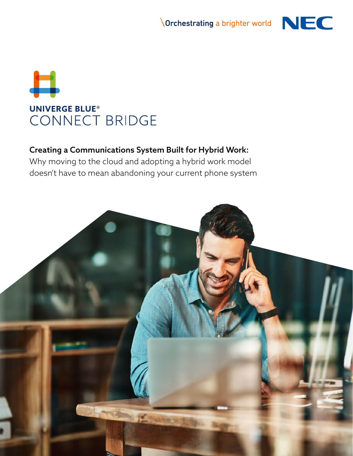



### Creating a Communications System Built for Hybrid Work:

Why moving to the cloud and adopting a hybrid work model doesn't have to mean abandoning your current phone system

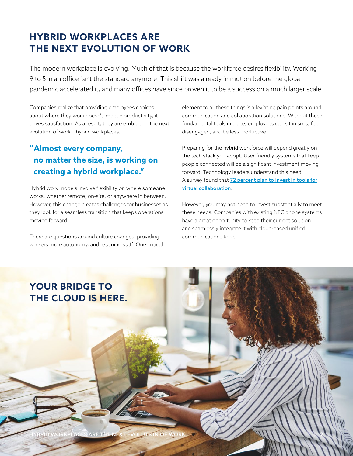# **HYBRID WORKPLACES ARE THE NEXT EVOLUTION OF WORK**

The modern workplace is evolving. Much of that is because the workforce desires flexibility. Working 9 to 5 in an office isn't the standard anymore. This shift was already in motion before the global pandemic accelerated it, and many offices have since proven it to be a success on a much larger scale.

Companies realize that providing employees choices about where they work doesn't impede productivity, it drives satisfaction. As a result, they are embracing the next evolution of work – hybrid workplaces.

### **"Almost every company, no matter the size, is working on creating a hybrid workplace."**

Hybrid work models involve flexibility on where someone works, whether remote, on-site, or anywhere in between. However, this change creates challenges for businesses as they look for a seamless transition that keeps operations moving forward.

There are questions around culture changes, providing workers more autonomy, and retaining staff. One critical element to all these things is alleviating pain points around communication and collaboration solutions. Without these fundamental tools in place, employees can sit in silos, feel disengaged, and be less productive.

Preparing for the hybrid workforce will depend greatly on the tech stack you adopt. User-friendly systems that keep people connected will be a significant investment moving forward. Technology leaders understand this need. A survey found that 72 percent plan to invest in tools for virtual collaboration.

However, you may not need to invest substantially to meet these needs. Companies with existing NEC phone systems have a great opportunity to keep their current solution and seamlessly integrate it with cloud-based unified communications tools.

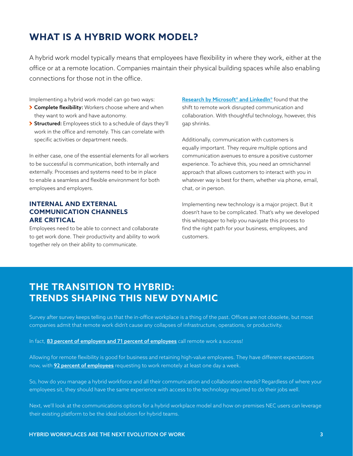# **WHAT IS A HYBRID WORK MODEL?**

A hybrid work model typically means that employees have flexibility in where they work, either at the office or at a remote location. Companies maintain their physical building spaces while also enabling connections for those not in the office.

Implementing a hybrid work model can go two ways:

- **> Complete flexibility:** Workers choose where and when they want to work and have autonomy.
- Structured: Employees stick to a schedule of days they'll work in the office and remotely. This can correlate with specific activities or department needs.

In either case, one of the essential elements for all workers to be successful is communication, both internally and externally. Processes and systems need to be in place to enable a seamless and flexible environment for both employees and employers.

### **INTERNAL AND EXTERNAL COMMUNICATION CHANNELS ARE CRITICAL**

Employees need to be able to connect and collaborate to get work done. Their productivity and ability to work together rely on their ability to communicate.

Research by Microsoft<sup>®</sup> and LinkedIn<sup>®</sup> found that the shift to remote work disrupted communication and collaboration. With thoughtful technology, however, this gap shrinks.

Additionally, communication with customers is equally important. They require multiple options and communication avenues to ensure a positive customer experience. To achieve this, you need an omnichannel approach that allows customers to interact with you in whatever way is best for them, whether via phone, email, chat, or in person.

Implementing new technology is a major project. But it doesn't have to be complicated. That's why we developed this whitepaper to help you navigate this process to find the right path for your business, employees, and customers.

### **THE TRANSITION TO HYBRID: TRENDS SHAPING THIS NEW DYNAMIC**

Survey after survey keeps telling us that the in-office workplace is a thing of the past. Offices are not obsolete, but most companies admit that remote work didn't cause any collapses of infrastructure, operations, or productivity.

In fact, **83 percent of employers and 71 percent of employees** call remote work a success!

Allowing for remote flexibility is good for business and retaining high-value employees. They have different expectations now, with **92 percent of employees** requesting to work remotely at least one day a week.

So, how do you manage a hybrid workforce and all their communication and collaboration needs? Regardless of where your employees sit, they should have the same experience with access to the technology required to do their jobs well.

Next, we'll look at the communications options for a hybrid workplace model and how on-premises NEC users can leverage their existing platform to be the ideal solution for hybrid teams.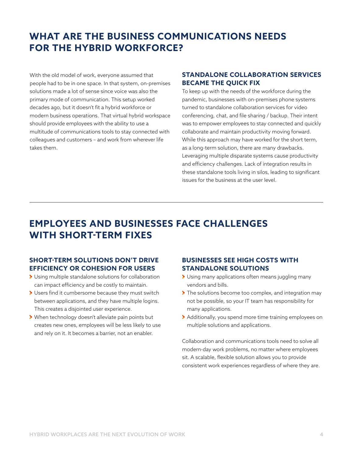## **WHAT ARE THE BUSINESS COMMUNICATIONS NEEDS FOR THE HYBRID WORKFORCE?**

With the old model of work, everyone assumed that people had to be in one space. In that system, on-premises solutions made a lot of sense since voice was also the primary mode of communication. This setup worked decades ago, but it doesn't fit a hybrid workforce or modern business operations. That virtual hybrid workspace should provide employees with the ability to use a multitude of communications tools to stay connected with colleagues and customers – and work from wherever life takes them.

#### **STANDALONE COLLABORATION SERVICES BECAME THE QUICK FIX**

To keep up with the needs of the workforce during the pandemic, businesses with on-premises phone systems turned to standalone collaboration services for video conferencing, chat, and file sharing / backup. Their intent was to empower employees to stay connected and quickly collaborate and maintain productivity moving forward. While this approach may have worked for the short term, as a long-term solution, there are many drawbacks. Leveraging multiple disparate systems cause productivity and efficiency challenges. Lack of integration results in these standalone tools living in silos, leading to significant issues for the business at the user level.

## **EMPLOYEES AND BUSINESSES FACE CHALLENGES WITH SHORT-TERM FIXES**

### **SHORT-TERM SOLUTIONS DON'T DRIVE EFFICIENCY OR COHESION FOR USERS**

- Using multiple standalone solutions for collaboration can impact efficiency and be costly to maintain.
- Users find it cumbersome because they must switch between applications, and they have multiple logins. This creates a disjointed user experience.
- When technology doesn't alleviate pain points but creates new ones, employees will be less likely to use and rely on it. It becomes a barrier, not an enabler.

#### **BUSINESSES SEE HIGH COSTS WITH STANDALONE SOLUTIONS**

- Using many applications often means juggling many vendors and bills.
- The solutions become too complex, and integration may not be possible, so your IT team has responsibility for many applications.
- Additionally, you spend more time training employees on multiple solutions and applications.

Collaboration and communications tools need to solve all modern-day work problems, no matter where employees sit. A scalable, flexible solution allows you to provide consistent work experiences regardless of where they are.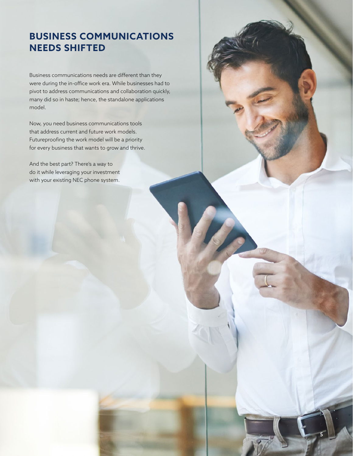## **BUSINESS COMMUNICATIONS NEEDS SHIFTED**

Business communications needs are different than they were during the in-office work era. While businesses had to pivot to address communications and collaboration quickly, many did so in haste; hence, the standalone applications model.

Now, you need business communications tools that address current and future work models. Futureproofing the work model will be a priority for every business that wants to grow and thrive.

And the best part? There's a way to do it while leveraging your investment with your existing NEC phone system.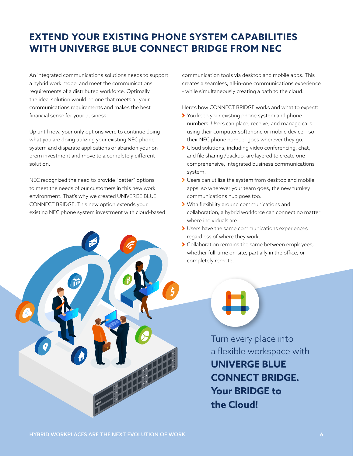# **EXTEND YOUR EXISTING PHONE SYSTEM CAPABILITIES WITH UNIVERGE BLUE CONNECT BRIDGE FROM NEC**

An integrated communications solutions needs to support a hybrid work model and meet the communications requirements of a distributed workforce. Optimally, the ideal solution would be one that meets all your communications requirements and makes the best financial sense for your business.

Up until now, your only options were to continue doing what you are doing utilizing your existing NEC phone system and disparate applications or abandon your onprem investment and move to a completely different solution.

NEC recognized the need to provide "better" options to meet the needs of our customers in this new work environment. That's why we created UNIVERGE BLUE CONNECT BRIDGE. This new option extends your existing NEC phone system investment with cloud-based



communication tools via desktop and mobile apps. This creates a seamless, all-in-one communications experience - while simultaneously creating a path to the cloud.

Here's how CONNECT BRIDGE works and what to expect:

- You keep your existing phone system and phone numbers. Users can place, receive, and manage calls using their computer softphone or mobile device – so their NEC phone number goes wherever they go.
- Cloud solutions, including video conferencing, chat, and file sharing /backup, are layered to create one comprehensive, integrated business communications system.
- Users can utilize the system from desktop and mobile apps, so wherever your team goes, the new turnkey communications hub goes too.
- With flexibility around communications and collaboration, a hybrid workforce can connect no matter where individuals are.
- Users have the same communications experiences regardless of where they work.
- > Collaboration remains the same between employees, whether full-time on-site, partially in the office, or completely remote.

Turn every place into a flexible workspace with **UNIVERGE BLUE CONNECT BRIDGE. Your BRIDGE to the Cloud!**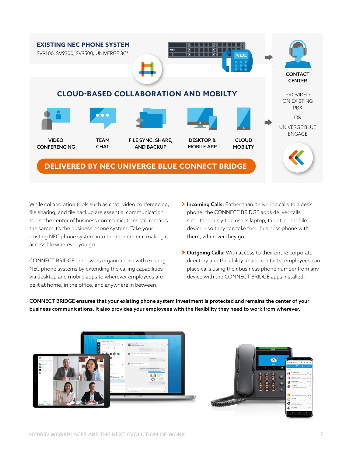

While collaboration tools such as chat, video conferencing, file sharing, and file backup are essential communication tools, the center of business communications still remains the same: it's the business phone system. Take your existing NEC phone system into the modern era, making it accessible wherever you go.

CONNECT BRIDGE empowers organizations with existing NEC phone systems by extending the calling capabilities via desktop and mobile apps to wherever employees are – be it at home, in the office, and anywhere in between.

- Incoming Calls: Rather than delivering calls to a desk phone, the CONNECT BRIDGE apps deliver calls simultaneously to a user's laptop, tablet, or mobile device – so they can take their business phone with them, wherever they go.
- > Outgoing Calls: With access to their entire corporate directory and the ability to add contacts, employees can place calls using their business phone number from any device with the CONNECT BRIDGE apps installed.

CONNECT BRIDGE ensures that your existing phone system investment is protected and remains the center of your business communications. It also provides your employees with the flexibility they need to work from wherever.



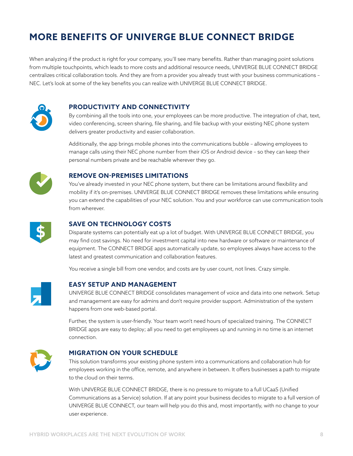# **MORE BENEFITS OF UNIVERGE BLUE CONNECT BRIDGE**

When analyzing if the product is right for your company, you'll see many benefits. Rather than managing point solutions from multiple touchpoints, which leads to more costs and additional resource needs, UNIVERGE BLUE CONNECT BRIDGE centralizes critical collaboration tools. And they are from a provider you already trust with your business communications – NEC. Let's look at some of the key benefits you can realize with UNIVERGE BLUE CONNECT BRIDGE.



#### **PRODUCTIVITY AND CONNECTIVITY**

By combining all the tools into one, your employees can be more productive. The integration of chat, text, video conferencing, screen sharing, file sharing, and file backup with your existing NEC phone system delivers greater productivity and easier collaboration.

Additionally, the app brings mobile phones into the communications bubble – allowing employees to manage calls using their NEC phone number from their iOS or Android device – so they can keep their personal numbers private and be reachable wherever they go.



#### **REMOVE ON-PREMISES LIMITATIONS**

You've already invested in your NEC phone system, but there can be limitations around flexibility and mobility if it's on-premises. UNIVERGE BLUE CONNECT BRIDGE removes these limitations while ensuring you can extend the capabilities of your NEC solution. You and your workforce can use communication tools from wherever.



#### **SAVE ON TECHNOLOGY COSTS**

Disparate systems can potentially eat up a lot of budget. With UNIVERGE BLUE CONNECT BRIDGE, you may find cost savings. No need for investment capital into new hardware or software or maintenance of equipment. The CONNECT BRIDGE apps automatically update, so employees always have access to the latest and greatest communication and collaboration features.

You receive a single bill from one vendor, and costs are by user count, not lines. Crazy simple.



#### **EASY SETUP AND MANAGEMENT**

UNIVERGE BLUE CONNECT BRIDGE consolidates management of voice and data into one network. Setup and management are easy for admins and don't require provider support. Administration of the system happens from one web-based portal.

Further, the system is user-friendly. Your team won't need hours of specialized training. The CONNECT BRIDGE apps are easy to deploy; all you need to get employees up and running in no time is an internet connection.



#### **MIGRATION ON YOUR SCHEDULE**

This solution transforms your existing phone system into a communications and collaboration hub for employees working in the office, remote, and anywhere in between. It offers businesses a path to migrate to the cloud on their terms.

With UNIVERGE BLUE CONNECT BRIDGE, there is no pressure to migrate to a full UCaaS (Unified Communications as a Service) solution. If at any point your business decides to migrate to a full version of UNIVERGE BLUE CONNECT, our team will help you do this and, most importantly, with no change to your user experience.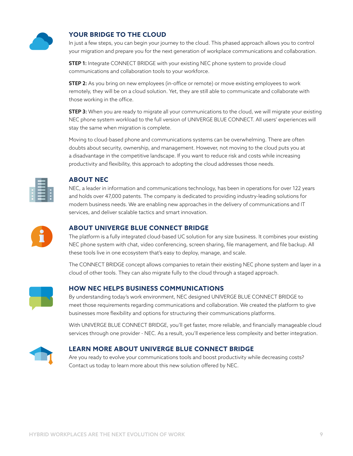

### **YOUR BRIDGE TO THE CLOUD**

In just a few steps, you can begin your journey to the cloud. This phased approach allows you to control your migration and prepare you for the next generation of workplace communications and collaboration.

**STEP 1:** Integrate CONNECT BRIDGE with your existing NEC phone system to provide cloud communications and collaboration tools to your workforce.

**STEP 2:** As you bring on new employees (in-office or remote) or move existing employees to work remotely, they will be on a cloud solution. Yet, they are still able to communicate and collaborate with those working in the office.

**STEP 3:** When you are ready to migrate all your communications to the cloud, we will migrate your existing NEC phone system workload to the full version of UNIVERGE BLUE CONNECT. All users' experiences will stay the same when migration is complete.

Moving to cloud-based phone and communications systems can be overwhelming. There are often doubts about security, ownership, and management. However, not moving to the cloud puts you at a disadvantage in the competitive landscape. If you want to reduce risk and costs while increasing productivity and flexibility, this approach to adopting the cloud addresses those needs.

| Ξ |   |
|---|---|
| Ξ | Ξ |
| Ξ |   |
|   |   |
| Ξ |   |
|   |   |

#### **ABOUT NEC**

NEC, a leader in information and communications technology, has been in operations for over 122 years and holds over 47,000 patents. The company is dedicated to providing industry-leading solutions for modern business needs. We are enabling new approaches in the delivery of communications and IT services, and deliver scalable tactics and smart innovation.



#### **ABOUT UNIVERGE BLUE CONNECT BRIDGE**

The platform is a fully integrated cloud-based UC solution for any size business. It combines your existing NEC phone system with chat, video conferencing, screen sharing, file management, and file backup. All these tools live in one ecosystem that's easy to deploy, manage, and scale.

The CONNECT BRIDGE concept allows companies to retain their existing NEC phone system and layer in a cloud of other tools. They can also migrate fully to the cloud through a staged approach.



#### **HOW NEC HELPS BUSINESS COMMUNICATIONS**

By understanding today's work environment, NEC designed UNIVERGE BLUE CONNECT BRIDGE to meet those requirements regarding communications and collaboration. We created the platform to give businesses more flexibility and options for structuring their communications platforms.

With UNIVERGE BLUE CONNECT BRIDGE, you'll get faster, more reliable, and financially manageable cloud services through one provider - NEC. As a result, you'll experience less complexity and better integration.



#### **LEARN MORE ABOUT UNIVERGE BLUE CONNECT BRIDGE**

Are you ready to evolve your communications tools and boost productivity while decreasing costs? Contact us today to learn more about this new solution offered by NEC.